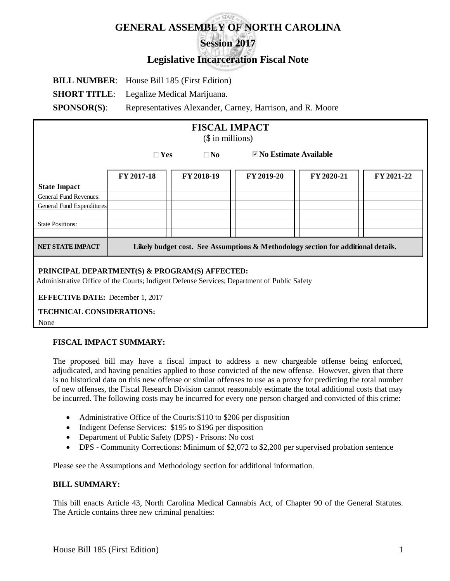# **GENERAL ASSEMBLY OF NORTH CAROLINA Session 2017**

## **Legislative Incarceration Fiscal Note**

**BILL NUMBER**: House Bill 185 (First Edition) **SHORT TITLE:** Legalize Medical Marijuana. **SPONSOR(S):** Representatives Alexander, Carney, Harrison, and R. Moore

| <b>FISCAL IMPACT</b><br>$($$ in millions)                |                                                                                   |            |                                      |            |            |
|----------------------------------------------------------|-----------------------------------------------------------------------------------|------------|--------------------------------------|------------|------------|
|                                                          | $\square$ Yes<br>$\square$ No                                                     |            | $\blacksquare$ No Estimate Available |            |            |
|                                                          | FY 2017-18                                                                        | FY 2018-19 | FY 2019-20                           | FY 2020-21 | FY 2021-22 |
| <b>State Impact</b>                                      |                                                                                   |            |                                      |            |            |
| General Fund Revenues:                                   |                                                                                   |            |                                      |            |            |
| General Fund Expenditures                                |                                                                                   |            |                                      |            |            |
| <b>State Positions:</b>                                  |                                                                                   |            |                                      |            |            |
| NET STATE IMPACT                                         | Likely budget cost. See Assumptions & Methodology section for additional details. |            |                                      |            |            |
| <b>DDELOTE IT DED IDELITION A DDAWN ILL ON ITERATIVE</b> |                                                                                   |            |                                      |            |            |

#### **PRINCIPAL DEPARTMENT(S) & PROGRAM(S) AFFECTED:**

Administrative Office of the Courts; Indigent Defense Services; Department of Public Safety

 **EFFECTIVE DATE:** December 1, 2017

### **TECHNICAL CONSIDERATIONS:**

None

#### **FISCAL IMPACT SUMMARY:**

The proposed bill may have a fiscal impact to address a new chargeable offense being enforced, adjudicated, and having penalties applied to those convicted of the new offense. However, given that there is no historical data on this new offense or similar offenses to use as a proxy for predicting the total number of new offenses, the Fiscal Research Division cannot reasonably estimate the total additional costs that may be incurred. The following costs may be incurred for every one person charged and convicted of this crime:

- Administrative Office of the Courts: \$110 to \$206 per disposition
- Indigent Defense Services: \$195 to \$196 per disposition
- Department of Public Safety (DPS) Prisons: No cost
- DPS Community Corrections: Minimum of \$2,072 to \$2,200 per supervised probation sentence

Please see the Assumptions and Methodology section for additional information.

#### **BILL SUMMARY:**

This bill enacts Article 43, North Carolina Medical Cannabis Act, of Chapter 90 of the General Statutes. The Article contains three new criminal penalties: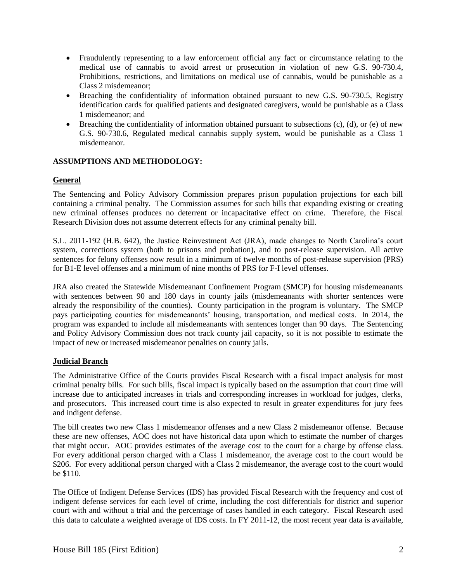- Fraudulently representing to a law enforcement official any fact or circumstance relating to the medical use of cannabis to avoid arrest or prosecution in violation of new G.S. 90-730.4, Prohibitions, restrictions, and limitations on medical use of cannabis, would be punishable as a Class 2 misdemeanor;
- Breaching the confidentiality of information obtained pursuant to new G.S. 90-730.5, Registry identification cards for qualified patients and designated caregivers, would be punishable as a Class 1 misdemeanor; and
- **•** Breaching the confidentiality of information obtained pursuant to subsections  $(c)$ ,  $(d)$ , or  $(e)$  of new G.S. 90-730.6, Regulated medical cannabis supply system, would be punishable as a Class 1 misdemeanor.

#### **ASSUMPTIONS AND METHODOLOGY:**

#### **General**

The Sentencing and Policy Advisory Commission prepares prison population projections for each bill containing a criminal penalty. The Commission assumes for such bills that expanding existing or creating new criminal offenses produces no deterrent or incapacitative effect on crime. Therefore, the Fiscal Research Division does not assume deterrent effects for any criminal penalty bill.

S.L. 2011-192 (H.B. 642), the Justice Reinvestment Act (JRA), made changes to North Carolina's court system, corrections system (both to prisons and probation), and to post-release supervision. All active sentences for felony offenses now result in a minimum of twelve months of post-release supervision (PRS) for B1-E level offenses and a minimum of nine months of PRS for F-I level offenses.

JRA also created the Statewide Misdemeanant Confinement Program (SMCP) for housing misdemeanants with sentences between 90 and 180 days in county jails (misdemeanants with shorter sentences were already the responsibility of the counties). County participation in the program is voluntary. The SMCP pays participating counties for misdemeanants' housing, transportation, and medical costs. In 2014, the program was expanded to include all misdemeanants with sentences longer than 90 days. The Sentencing and Policy Advisory Commission does not track county jail capacity, so it is not possible to estimate the impact of new or increased misdemeanor penalties on county jails.

#### **Judicial Branch**

The Administrative Office of the Courts provides Fiscal Research with a fiscal impact analysis for most criminal penalty bills. For such bills, fiscal impact is typically based on the assumption that court time will increase due to anticipated increases in trials and corresponding increases in workload for judges, clerks, and prosecutors. This increased court time is also expected to result in greater expenditures for jury fees and indigent defense.

The bill creates two new Class 1 misdemeanor offenses and a new Class 2 misdemeanor offense. Because these are new offenses, AOC does not have historical data upon which to estimate the number of charges that might occur. AOC provides estimates of the average cost to the court for a charge by offense class. For every additional person charged with a Class 1 misdemeanor, the average cost to the court would be \$206. For every additional person charged with a Class 2 misdemeanor, the average cost to the court would be \$110.

The Office of Indigent Defense Services (IDS) has provided Fiscal Research with the frequency and cost of indigent defense services for each level of crime, including the cost differentials for district and superior court with and without a trial and the percentage of cases handled in each category. Fiscal Research used this data to calculate a weighted average of IDS costs. In FY 2011-12, the most recent year data is available,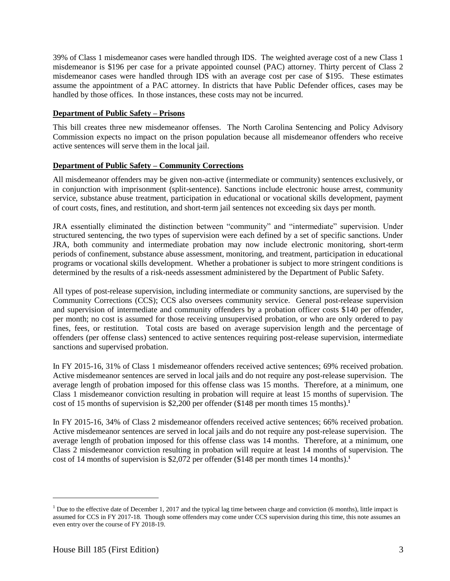39% of Class 1 misdemeanor cases were handled through IDS. The weighted average cost of a new Class 1 misdemeanor is \$196 per case for a private appointed counsel (PAC) attorney. Thirty percent of Class 2 misdemeanor cases were handled through IDS with an average cost per case of \$195. These estimates assume the appointment of a PAC attorney. In districts that have Public Defender offices, cases may be handled by those offices. In those instances, these costs may not be incurred.

#### **Department of Public Safety – Prisons**

This bill creates three new misdemeanor offenses. The North Carolina Sentencing and Policy Advisory Commission expects no impact on the prison population because all misdemeanor offenders who receive active sentences will serve them in the local jail.

#### **Department of Public Safety – Community Corrections**

All misdemeanor offenders may be given non-active (intermediate or community) sentences exclusively, or in conjunction with imprisonment (split-sentence). Sanctions include electronic house arrest, community service, substance abuse treatment, participation in educational or vocational skills development, payment of court costs, fines, and restitution, and short-term jail sentences not exceeding six days per month.

JRA essentially eliminated the distinction between "community" and "intermediate" supervision. Under structured sentencing, the two types of supervision were each defined by a set of specific sanctions. Under JRA, both community and intermediate probation may now include electronic monitoring, short-term periods of confinement, substance abuse assessment, monitoring, and treatment, participation in educational programs or vocational skills development. Whether a probationer is subject to more stringent conditions is determined by the results of a risk-needs assessment administered by the Department of Public Safety.

All types of post-release supervision, including intermediate or community sanctions, are supervised by the Community Corrections (CCS); CCS also oversees community service. General post-release supervision and supervision of intermediate and community offenders by a probation officer costs \$140 per offender, per month; no cost is assumed for those receiving unsupervised probation, or who are only ordered to pay fines, fees, or restitution. Total costs are based on average supervision length and the percentage of offenders (per offense class) sentenced to active sentences requiring post-release supervision, intermediate sanctions and supervised probation.

In FY 2015-16, 31% of Class 1 misdemeanor offenders received active sentences; 69% received probation. Active misdemeanor sentences are served in local jails and do not require any post-release supervision. The average length of probation imposed for this offense class was 15 months. Therefore, at a minimum, one Class 1 misdemeanor conviction resulting in probation will require at least 15 months of supervision. The cost of 15 months of supervision is \$2,200 per offender (\$148 per month times 15 months).**<sup>1</sup>**

In FY 2015-16, 34% of Class 2 misdemeanor offenders received active sentences; 66% received probation. Active misdemeanor sentences are served in local jails and do not require any post-release supervision. The average length of probation imposed for this offense class was 14 months. Therefore, at a minimum, one Class 2 misdemeanor conviction resulting in probation will require at least 14 months of supervision. The cost of 14 months of supervision is  $$2,072$  per offender  $$148$  per month times 14 months).<sup>1</sup>

 $\overline{a}$ 

<sup>&</sup>lt;sup>1</sup> Due to the effective date of December 1, 2017 and the typical lag time between charge and conviction (6 months), little impact is assumed for CCS in FY 2017-18. Though some offenders may come under CCS supervision during this time, this note assumes an even entry over the course of FY 2018-19.